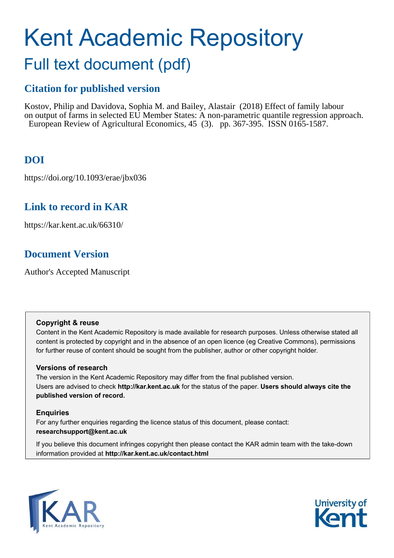# Kent Academic Repository

## Full text document (pdf)

## **Citation for published version**

Kostov, Philip and Davidova, Sophia M. and Bailey, Alastair (2018) Effect of family labour on output of farms in selected EU Member States: A non-parametric quantile regression approach. European Review of Agricultural Economics, 45 (3). pp. 367-395. ISSN 0165-1587.

## **DOI**

https://doi.org/10.1093/erae/jbx036

### **Link to record in KAR**

https://kar.kent.ac.uk/66310/

## **Document Version**

Author's Accepted Manuscript

#### **Copyright & reuse**

Content in the Kent Academic Repository is made available for research purposes. Unless otherwise stated all content is protected by copyright and in the absence of an open licence (eg Creative Commons), permissions for further reuse of content should be sought from the publisher, author or other copyright holder.

#### **Versions of research**

The version in the Kent Academic Repository may differ from the final published version. Users are advised to check **http://kar.kent.ac.uk** for the status of the paper. **Users should always cite the published version of record.**

#### **Enquiries**

For any further enquiries regarding the licence status of this document, please contact: **researchsupport@kent.ac.uk**

If you believe this document infringes copyright then please contact the KAR admin team with the take-down information provided at **http://kar.kent.ac.uk/contact.html**



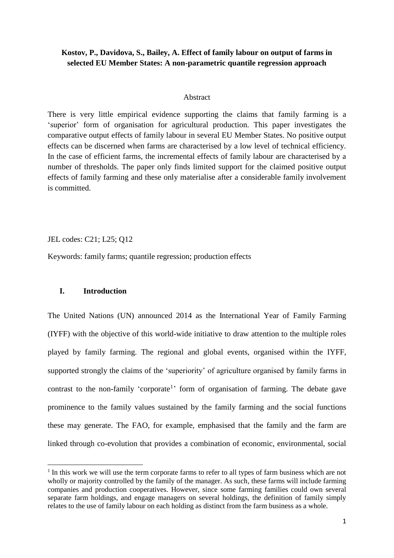#### **Kostov, P., Davidova, S., Bailey, A. Effect of family labour on output of farms in selected EU Member States: A non-parametric quantile regression approach**

#### Abstract

There is very little empirical evidence supporting the claims that family farming is a 'superior' form of organisation for agricultural production. This paper investigates the comparative output effects of family labour in several EU Member States. No positive output effects can be discerned when farms are characterised by a low level of technical efficiency. In the case of efficient farms, the incremental effects of family labour are characterised by a number of thresholds. The paper only finds limited support for the claimed positive output effects of family farming and these only materialise after a considerable family involvement is committed.

#### JEL codes: C21; L25; Q12

Keywords: family farms; quantile regression; production effects

#### **I. Introduction**

 $\overline{a}$ 

The United Nations (UN) announced 2014 as the International Year of Family Farming (IYFF) with the objective of this world-wide initiative to draw attention to the multiple roles played by family farming. The regional and global events, organised within the IYFF, supported strongly the claims of the 'superiority' of agriculture organised by family farms in contrast to the non-family 'corporate<sup>1</sup>' form of organisation of farming. The debate gave prominence to the family values sustained by the family farming and the social functions these may generate. The FAO, for example, emphasised that the family and the farm are linked through co-evolution that provides a combination of economic, environmental, social

<sup>&</sup>lt;sup>1</sup> In this work we will use the term corporate farms to refer to all types of farm business which are not wholly or majority controlled by the family of the manager. As such, these farms will include farming companies and production cooperatives. However, since some farming families could own several separate farm holdings, and engage managers on several holdings, the definition of family simply relates to the use of family labour on each holding as distinct from the farm business as a whole.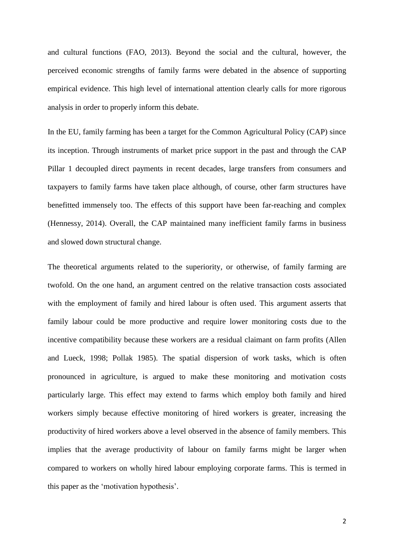and cultural functions (FAO, 2013). Beyond the social and the cultural, however, the perceived economic strengths of family farms were debated in the absence of supporting empirical evidence. This high level of international attention clearly calls for more rigorous analysis in order to properly inform this debate.

In the EU, family farming has been a target for the Common Agricultural Policy (CAP) since its inception. Through instruments of market price support in the past and through the CAP Pillar 1 decoupled direct payments in recent decades, large transfers from consumers and taxpayers to family farms have taken place although, of course, other farm structures have benefitted immensely too. The effects of this support have been far-reaching and complex (Hennessy, 2014). Overall, the CAP maintained many inefficient family farms in business and slowed down structural change.

The theoretical arguments related to the superiority, or otherwise, of family farming are twofold. On the one hand, an argument centred on the relative transaction costs associated with the employment of family and hired labour is often used. This argument asserts that family labour could be more productive and require lower monitoring costs due to the incentive compatibility because these workers are a residual claimant on farm profits (Allen and Lueck, 1998; Pollak 1985). The spatial dispersion of work tasks, which is often pronounced in agriculture, is argued to make these monitoring and motivation costs particularly large. This effect may extend to farms which employ both family and hired workers simply because effective monitoring of hired workers is greater, increasing the productivity of hired workers above a level observed in the absence of family members. This implies that the average productivity of labour on family farms might be larger when compared to workers on wholly hired labour employing corporate farms. This is termed in this paper as the 'motivation hypothesis'.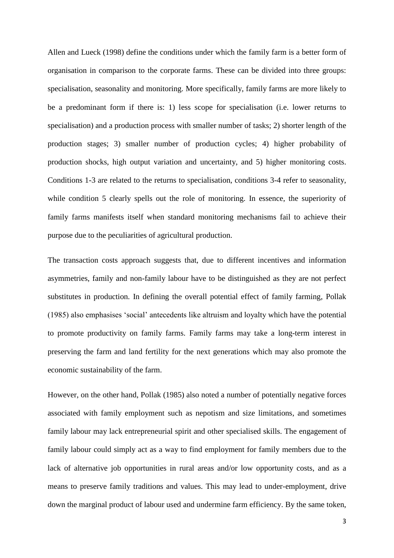Allen and Lueck (1998) define the conditions under which the family farm is a better form of organisation in comparison to the corporate farms. These can be divided into three groups: specialisation, seasonality and monitoring. More specifically, family farms are more likely to be a predominant form if there is: 1) less scope for specialisation (i.e. lower returns to specialisation) and a production process with smaller number of tasks; 2) shorter length of the production stages; 3) smaller number of production cycles; 4) higher probability of production shocks, high output variation and uncertainty, and 5) higher monitoring costs. Conditions 1-3 are related to the returns to specialisation, conditions 3-4 refer to seasonality, while condition 5 clearly spells out the role of monitoring. In essence, the superiority of family farms manifests itself when standard monitoring mechanisms fail to achieve their purpose due to the peculiarities of agricultural production.

The transaction costs approach suggests that, due to different incentives and information asymmetries, family and non-family labour have to be distinguished as they are not perfect substitutes in production. In defining the overall potential effect of family farming, Pollak (1985) also emphasises 'social' antecedents like altruism and loyalty which have the potential to promote productivity on family farms. Family farms may take a long-term interest in preserving the farm and land fertility for the next generations which may also promote the economic sustainability of the farm.

However, on the other hand, Pollak (1985) also noted a number of potentially negative forces associated with family employment such as nepotism and size limitations, and sometimes family labour may lack entrepreneurial spirit and other specialised skills. The engagement of family labour could simply act as a way to find employment for family members due to the lack of alternative job opportunities in rural areas and/or low opportunity costs, and as a means to preserve family traditions and values. This may lead to under-employment, drive down the marginal product of labour used and undermine farm efficiency. By the same token,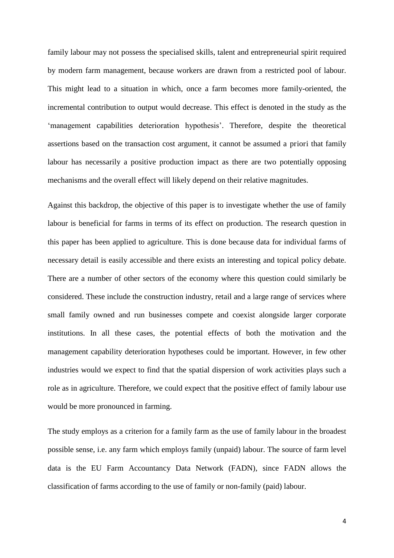family labour may not possess the specialised skills, talent and entrepreneurial spirit required by modern farm management, because workers are drawn from a restricted pool of labour. This might lead to a situation in which, once a farm becomes more family-oriented, the incremental contribution to output would decrease. This effect is denoted in the study as the 'management capabilities deterioration hypothesis'. Therefore, despite the theoretical assertions based on the transaction cost argument, it cannot be assumed a priori that family labour has necessarily a positive production impact as there are two potentially opposing mechanisms and the overall effect will likely depend on their relative magnitudes.

Against this backdrop, the objective of this paper is to investigate whether the use of family labour is beneficial for farms in terms of its effect on production. The research question in this paper has been applied to agriculture. This is done because data for individual farms of necessary detail is easily accessible and there exists an interesting and topical policy debate. There are a number of other sectors of the economy where this question could similarly be considered. These include the construction industry, retail and a large range of services where small family owned and run businesses compete and coexist alongside larger corporate institutions. In all these cases, the potential effects of both the motivation and the management capability deterioration hypotheses could be important. However, in few other industries would we expect to find that the spatial dispersion of work activities plays such a role as in agriculture. Therefore, we could expect that the positive effect of family labour use would be more pronounced in farming.

The study employs as a criterion for a family farm as the use of family labour in the broadest possible sense, i.e. any farm which employs family (unpaid) labour. The source of farm level data is the EU Farm Accountancy Data Network (FADN), since FADN allows the classification of farms according to the use of family or non-family (paid) labour.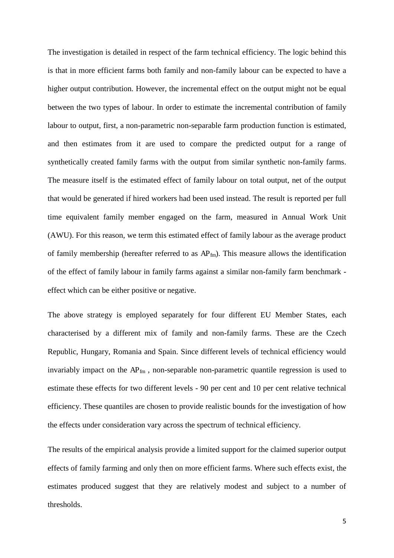The investigation is detailed in respect of the farm technical efficiency. The logic behind this is that in more efficient farms both family and non-family labour can be expected to have a higher output contribution. However, the incremental effect on the output might not be equal between the two types of labour. In order to estimate the incremental contribution of family labour to output, first, a non-parametric non-separable farm production function is estimated, and then estimates from it are used to compare the predicted output for a range of synthetically created family farms with the output from similar synthetic non-family farms. The measure itself is the estimated effect of family labour on total output, net of the output that would be generated if hired workers had been used instead. The result is reported per full time equivalent family member engaged on the farm, measured in Annual Work Unit (AWU). For this reason, we term this estimated effect of family labour as the average product of family membership (hereafter referred to as  $AP<sub>fm</sub>$ ). This measure allows the identification of the effect of family labour in family farms against a similar non-family farm benchmark effect which can be either positive or negative.

The above strategy is employed separately for four different EU Member States, each characterised by a different mix of family and non-family farms. These are the Czech Republic, Hungary, Romania and Spain. Since different levels of technical efficiency would invariably impact on the  $AP_{fm}$ , non-separable non-parametric quantile regression is used to estimate these effects for two different levels - 90 per cent and 10 per cent relative technical efficiency. These quantiles are chosen to provide realistic bounds for the investigation of how the effects under consideration vary across the spectrum of technical efficiency.

The results of the empirical analysis provide a limited support for the claimed superior output effects of family farming and only then on more efficient farms. Where such effects exist, the estimates produced suggest that they are relatively modest and subject to a number of thresholds.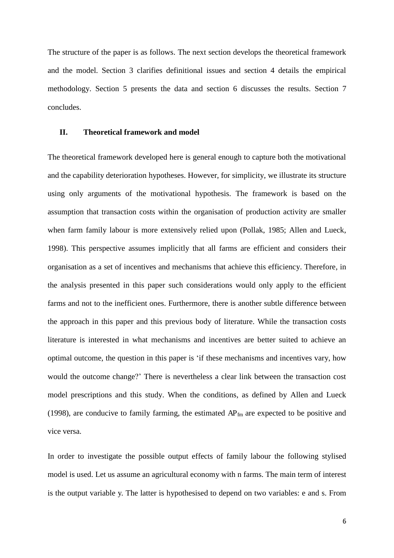The structure of the paper is as follows. The next section develops the theoretical framework and the model. Section 3 clarifies definitional issues and section 4 details the empirical methodology. Section 5 presents the data and section 6 discusses the results. Section 7 concludes.

#### **II. Theoretical framework and model**

The theoretical framework developed here is general enough to capture both the motivational and the capability deterioration hypotheses. However, for simplicity, we illustrate its structure using only arguments of the motivational hypothesis. The framework is based on the assumption that transaction costs within the organisation of production activity are smaller when farm family labour is more extensively relied upon (Pollak, 1985; Allen and Lueck, 1998). This perspective assumes implicitly that all farms are efficient and considers their organisation as a set of incentives and mechanisms that achieve this efficiency. Therefore, in the analysis presented in this paper such considerations would only apply to the efficient farms and not to the inefficient ones. Furthermore, there is another subtle difference between the approach in this paper and this previous body of literature. While the transaction costs literature is interested in what mechanisms and incentives are better suited to achieve an optimal outcome, the question in this paper is 'if these mechanisms and incentives vary, how would the outcome change?' There is nevertheless a clear link between the transaction cost model prescriptions and this study. When the conditions, as defined by Allen and Lueck (1998), are conducive to family farming, the estimated  $AP<sub>fm</sub>$  are expected to be positive and vice versa.

In order to investigate the possible output effects of family labour the following stylised model is used. Let us assume an agricultural economy with n farms. The main term of interest is the output variable y. The latter is hypothesised to depend on two variables: e and s. From

6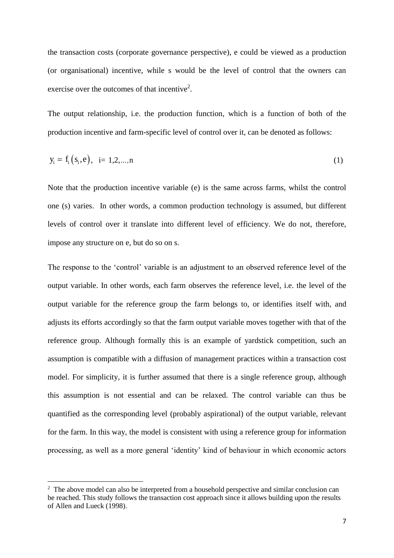the transaction costs (corporate governance perspective), e could be viewed as a production (or organisational) incentive, while s would be the level of control that the owners can exercise over the outcomes of that incentive<sup>2</sup>.

The output relationship, i.e. the production function, which is a function of both of the production incentive and farm-specific level of control over it, can be denoted as follows:

$$
y_i = f_i(s_i, e), \quad i = 1, 2, \dots, n
$$
 (1)

Note that the production incentive variable (e) is the same across farms, whilst the control one (s) varies. In other words, a common production technology is assumed, but different levels of control over it translate into different level of efficiency. We do not, therefore, impose any structure on e, but do so on s.

The response to the 'control' variable is an adjustment to an observed reference level of the output variable. In other words, each farm observes the reference level, i.e. the level of the output variable for the reference group the farm belongs to, or identifies itself with, and adjusts its efforts accordingly so that the farm output variable moves together with that of the reference group. Although formally this is an example of yardstick competition, such an assumption is compatible with a diffusion of management practices within a transaction cost model. For simplicity, it is further assumed that there is a single reference group, although this assumption is not essential and can be relaxed. The control variable can thus be quantified as the corresponding level (probably aspirational) of the output variable, relevant for the farm. In this way, the model is consistent with using a reference group for information processing, as well as a more general 'identity' kind of behaviour in which economic actors

 $\overline{a}$ 

<sup>&</sup>lt;sup>2</sup> The above model can also be interpreted from a household perspective and similar conclusion can be reached. This study follows the transaction cost approach since it allows building upon the results of Allen and Lueck (1998).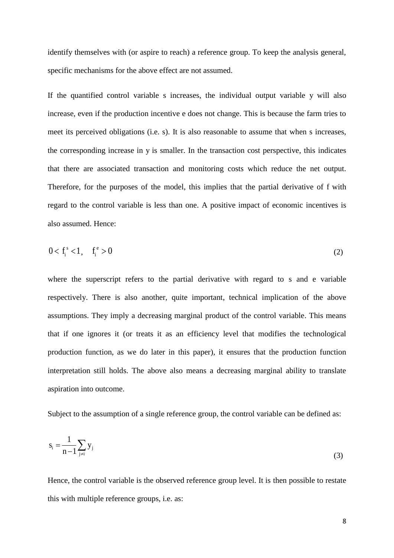identify themselves with (or aspire to reach) a reference group. To keep the analysis general, specific mechanisms for the above effect are not assumed.

If the quantified control variable s increases, the individual output variable y will also increase, even if the production incentive e does not change. This is because the farm tries to meet its perceived obligations (i.e. s). It is also reasonable to assume that when s increases, the corresponding increase in y is smaller. In the transaction cost perspective, this indicates that there are associated transaction and monitoring costs which reduce the net output. Therefore, for the purposes of the model, this implies that the partial derivative of f with regard to the control variable is less than one. A positive impact of economic incentives is also assumed. Hence:

$$
0 < f_i^s < 1, \quad f_i^e > 0 \tag{2}
$$

where the superscript refers to the partial derivative with regard to s and e variable respectively. There is also another, quite important, technical implication of the above assumptions. They imply a decreasing marginal product of the control variable. This means that if one ignores it (or treats it as an efficiency level that modifies the technological production function, as we do later in this paper), it ensures that the production function interpretation still holds. The above also means a decreasing marginal ability to translate aspiration into outcome.

Subject to the assumption of a single reference group, the control variable can be defined as:

$$
s_{i} = \frac{1}{n-1} \sum_{j \neq i} y_{j}
$$
 (3)

Hence, the control variable is the observed reference group level. It is then possible to restate this with multiple reference groups, i.e. as: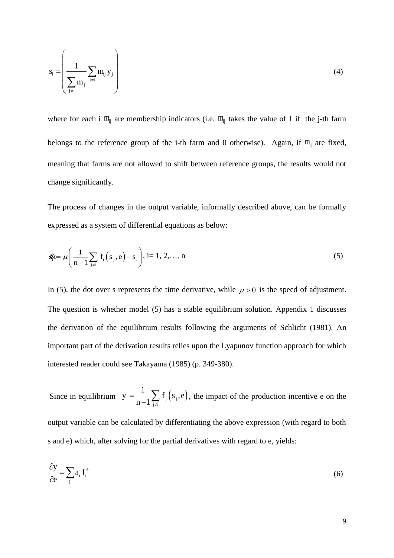$$
s_i = \left(\frac{1}{\sum_{j \neq i} m_{ij}} \sum_{j \neq i} m_{ij} y_j\right)
$$
 (4)

where for each i  $m_{ij}$  are membership indicators (i.e.  $m_{ij}$  takes the value of 1 if the j-th farm belongs to the reference group of the i-th farm and 0 otherwise). Again, if  $m$ <sub>ij</sub> are fixed, meaning that farms are not allowed to shift between reference groups, the results would not change significantly.

The process of changes in the output variable, informally described above, can be formally expressed as a system of differential equations as below:

$$
\mathbf{E} = \mu \left( \frac{1}{n-1} \sum_{j \neq i} \mathbf{f}_i \left( \mathbf{s}_j, \mathbf{e} \right) - \mathbf{s}_i \right), \quad i = 1, 2, \dots, n \tag{5}
$$

In (5), the dot over s represents the time derivative, while  $\mu > 0$  is the speed of adjustment. The question is whether model (5) has a stable equilibrium solution. Appendix 1 discusses the derivation of the equilibrium results following the arguments of Schlicht (1981). An important part of the derivation results relies upon the Lyapunov function approach for which interested reader could see Takayama (1985) (p. 349-380).

Since in equilibrium  $y_i = \frac{1}{n+1} \sum f_j(s_i, e)$ ,  $i = n-1 \sum_{j\neq i} i_j \binom{s_j}{j}$ j≠i  $y_i = \frac{1}{\epsilon} \sum f_i (s_i, e_i)$  $n-1$   $\frac{2}{i^2}$  $=$  $\frac{1}{-1}\sum_{i\neq i} f_j(s_i, e)$ , the impact of the production incentive e on the output variable can be calculated by differentiating the above expression (with regard to both s and e) which, after solving for the partial derivatives with regard to e, yields:

$$
\frac{\partial \overline{y}}{\partial e} = \sum_{i} a_i f_i^e \tag{6}
$$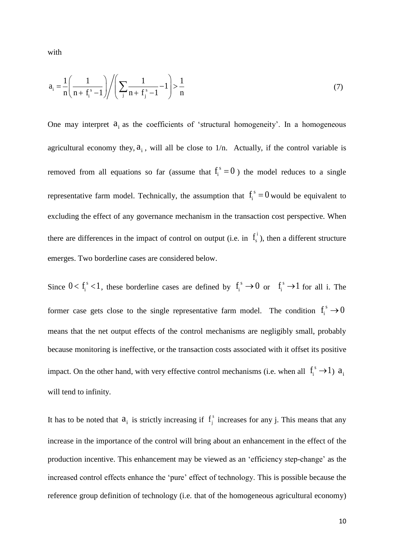with

$$
a_i = \frac{1}{n} \left( \frac{1}{n + f_i^s - 1} \right) / \left( \sum_j \frac{1}{n + f_j^s - 1} - 1 \right) > \frac{1}{n}
$$
 (7)

One may interpret  $a_i$  as the coefficients of 'structural homogeneity'. In a homogeneous agricultural economy they,  $a_i$ , will all be close to  $1/n$ . Actually, if the control variable is removed from all equations so far (assume that  $f_i^s = 0$  $f_i^s = 0$ ) the model reduces to a single representative farm model. Technically, the assumption that  $f_i^s = 0$  $f_i^s = 0$  would be equivalent to excluding the effect of any governance mechanism in the transaction cost perspective. When there are differences in the impact of control on output (i.e. in  $f_s^i$ ), then a different structure emerges. Two borderline cases are considered below.

Since  $0 < f_i^s < 1$ , these borderline cases are defined by  $f_i^s \rightarrow 0$  $f_i^s \rightarrow 0$  or  $f_i^s \rightarrow 1$  $f_i^s \rightarrow 1$  for all i. The former case gets close to the single representative farm model. The condition  $f_i^s \rightarrow 0$  $f_i^s \rightarrow$ means that the net output effects of the control mechanisms are negligibly small, probably because monitoring is ineffective, or the transaction costs associated with it offset its positive impact. On the other hand, with very effective control mechanisms (i.e. when all  $f_i^s \rightarrow 1$  $f_i^s \rightarrow 1$ )  $a_i$ will tend to infinity.

It has to be noted that  $a_i$  is strictly increasing if  $f_j^s$  increases for any j. This means that any increase in the importance of the control will bring about an enhancement in the effect of the production incentive. This enhancement may be viewed as an 'efficiency step-change' as the increased control effects enhance the 'pure' effect of technology. This is possible because the reference group definition of technology (i.e. that of the homogeneous agricultural economy)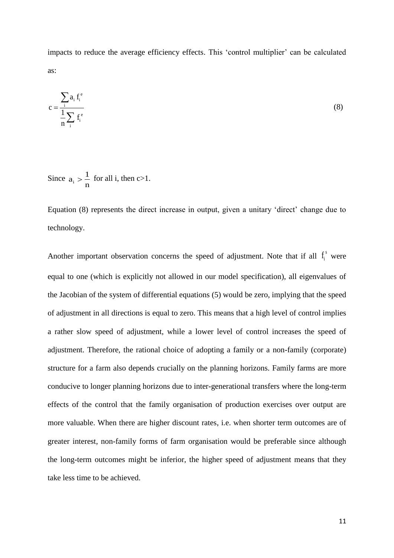impacts to reduce the average efficiency effects. This 'control multiplier' can be calculated as:

$$
c = \frac{\sum_{i} a_i f_i^e}{\frac{1}{n} \sum_{i} f_i^e}
$$
 (8)

Since 
$$
a_i > \frac{1}{n}
$$
 for all i, then c>1.

Equation (8) represents the direct increase in output, given a unitary 'direct' change due to technology.

Another important observation concerns the speed of adjustment. Note that if all  $f_i^s$  were equal to one (which is explicitly not allowed in our model specification), all eigenvalues of the Jacobian of the system of differential equations (5) would be zero, implying that the speed of adjustment in all directions is equal to zero. This means that a high level of control implies a rather slow speed of adjustment, while a lower level of control increases the speed of adjustment. Therefore, the rational choice of adopting a family or a non-family (corporate) structure for a farm also depends crucially on the planning horizons. Family farms are more conducive to longer planning horizons due to inter-generational transfers where the long-term effects of the control that the family organisation of production exercises over output are more valuable. When there are higher discount rates, i.e. when shorter term outcomes are of greater interest, non-family forms of farm organisation would be preferable since although the long-term outcomes might be inferior, the higher speed of adjustment means that they take less time to be achieved.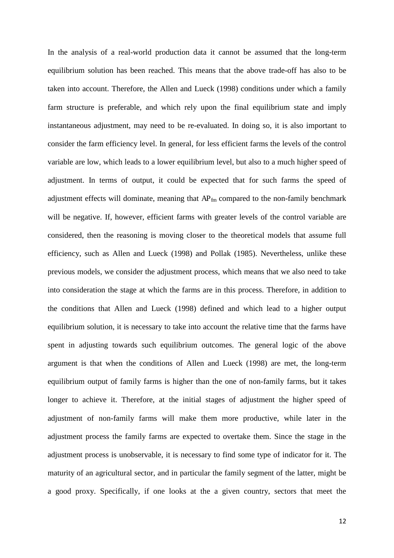In the analysis of a real-world production data it cannot be assumed that the long-term equilibrium solution has been reached. This means that the above trade-off has also to be taken into account. Therefore, the Allen and Lueck (1998) conditions under which a family farm structure is preferable, and which rely upon the final equilibrium state and imply instantaneous adjustment, may need to be re-evaluated. In doing so, it is also important to consider the farm efficiency level. In general, for less efficient farms the levels of the control variable are low, which leads to a lower equilibrium level, but also to a much higher speed of adjustment. In terms of output, it could be expected that for such farms the speed of adjustment effects will dominate, meaning that  $AP<sub>fm</sub>$  compared to the non-family benchmark will be negative. If, however, efficient farms with greater levels of the control variable are considered, then the reasoning is moving closer to the theoretical models that assume full efficiency, such as Allen and Lueck (1998) and Pollak (1985). Nevertheless, unlike these previous models, we consider the adjustment process, which means that we also need to take into consideration the stage at which the farms are in this process. Therefore, in addition to the conditions that Allen and Lueck (1998) defined and which lead to a higher output equilibrium solution, it is necessary to take into account the relative time that the farms have spent in adjusting towards such equilibrium outcomes. The general logic of the above argument is that when the conditions of Allen and Lueck (1998) are met, the long-term equilibrium output of family farms is higher than the one of non-family farms, but it takes longer to achieve it. Therefore, at the initial stages of adjustment the higher speed of adjustment of non-family farms will make them more productive, while later in the adjustment process the family farms are expected to overtake them. Since the stage in the adjustment process is unobservable, it is necessary to find some type of indicator for it. The maturity of an agricultural sector, and in particular the family segment of the latter, might be a good proxy. Specifically, if one looks at the a given country, sectors that meet the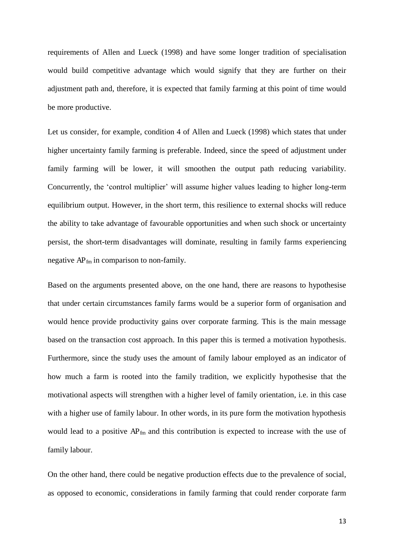requirements of Allen and Lueck (1998) and have some longer tradition of specialisation would build competitive advantage which would signify that they are further on their adjustment path and, therefore, it is expected that family farming at this point of time would be more productive.

Let us consider, for example, condition 4 of Allen and Lueck (1998) which states that under higher uncertainty family farming is preferable. Indeed, since the speed of adjustment under family farming will be lower, it will smoothen the output path reducing variability. Concurrently, the 'control multiplier' will assume higher values leading to higher long-term equilibrium output. However, in the short term, this resilience to external shocks will reduce the ability to take advantage of favourable opportunities and when such shock or uncertainty persist, the short-term disadvantages will dominate, resulting in family farms experiencing negative  $AP_{fm}$  in comparison to non-family.

Based on the arguments presented above, on the one hand, there are reasons to hypothesise that under certain circumstances family farms would be a superior form of organisation and would hence provide productivity gains over corporate farming. This is the main message based on the transaction cost approach. In this paper this is termed a motivation hypothesis. Furthermore, since the study uses the amount of family labour employed as an indicator of how much a farm is rooted into the family tradition, we explicitly hypothesise that the motivational aspects will strengthen with a higher level of family orientation, i.e. in this case with a higher use of family labour. In other words, in its pure form the motivation hypothesis would lead to a positive  $AP_{fm}$  and this contribution is expected to increase with the use of family labour.

On the other hand, there could be negative production effects due to the prevalence of social, as opposed to economic, considerations in family farming that could render corporate farm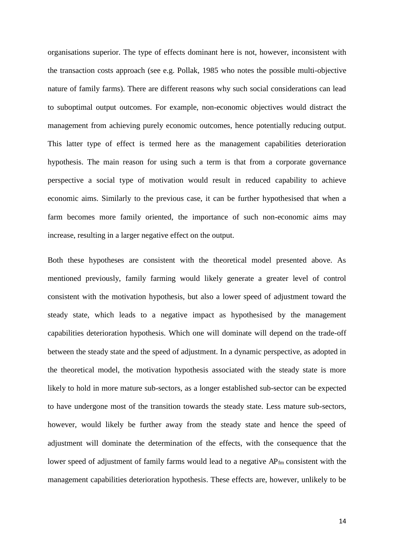organisations superior. The type of effects dominant here is not, however, inconsistent with the transaction costs approach (see e.g. Pollak, 1985 who notes the possible multi-objective nature of family farms). There are different reasons why such social considerations can lead to suboptimal output outcomes. For example, non-economic objectives would distract the management from achieving purely economic outcomes, hence potentially reducing output. This latter type of effect is termed here as the management capabilities deterioration hypothesis. The main reason for using such a term is that from a corporate governance perspective a social type of motivation would result in reduced capability to achieve economic aims. Similarly to the previous case, it can be further hypothesised that when a farm becomes more family oriented, the importance of such non-economic aims may increase, resulting in a larger negative effect on the output.

Both these hypotheses are consistent with the theoretical model presented above. As mentioned previously, family farming would likely generate a greater level of control consistent with the motivation hypothesis, but also a lower speed of adjustment toward the steady state, which leads to a negative impact as hypothesised by the management capabilities deterioration hypothesis. Which one will dominate will depend on the trade-off between the steady state and the speed of adjustment. In a dynamic perspective, as adopted in the theoretical model, the motivation hypothesis associated with the steady state is more likely to hold in more mature sub-sectors, as a longer established sub-sector can be expected to have undergone most of the transition towards the steady state. Less mature sub-sectors, however, would likely be further away from the steady state and hence the speed of adjustment will dominate the determination of the effects, with the consequence that the lower speed of adjustment of family farms would lead to a negative  $AP_{fm}$  consistent with the management capabilities deterioration hypothesis. These effects are, however, unlikely to be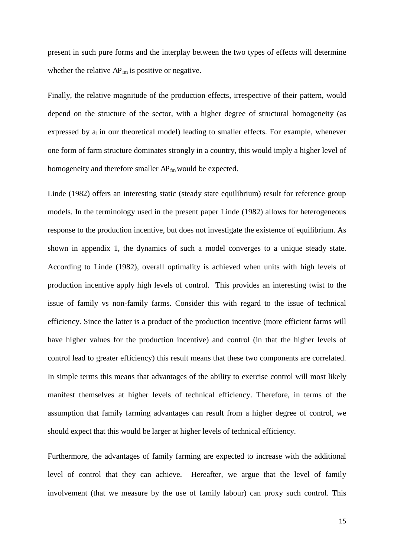present in such pure forms and the interplay between the two types of effects will determine whether the relative  $AP_{fm}$  is positive or negative.

Finally, the relative magnitude of the production effects, irrespective of their pattern, would depend on the structure of the sector, with a higher degree of structural homogeneity (as expressed by  $a_i$  in our theoretical model) leading to smaller effects. For example, whenever one form of farm structure dominates strongly in a country, this would imply a higher level of homogeneity and therefore smaller AP<sub>fm</sub> would be expected.

Linde (1982) offers an interesting static (steady state equilibrium) result for reference group models. In the terminology used in the present paper Linde (1982) allows for heterogeneous response to the production incentive, but does not investigate the existence of equilibrium. As shown in appendix 1, the dynamics of such a model converges to a unique steady state. According to Linde (1982), overall optimality is achieved when units with high levels of production incentive apply high levels of control. This provides an interesting twist to the issue of family vs non-family farms. Consider this with regard to the issue of technical efficiency. Since the latter is a product of the production incentive (more efficient farms will have higher values for the production incentive) and control (in that the higher levels of control lead to greater efficiency) this result means that these two components are correlated. In simple terms this means that advantages of the ability to exercise control will most likely manifest themselves at higher levels of technical efficiency. Therefore, in terms of the assumption that family farming advantages can result from a higher degree of control, we should expect that this would be larger at higher levels of technical efficiency.

Furthermore, the advantages of family farming are expected to increase with the additional level of control that they can achieve. Hereafter, we argue that the level of family involvement (that we measure by the use of family labour) can proxy such control. This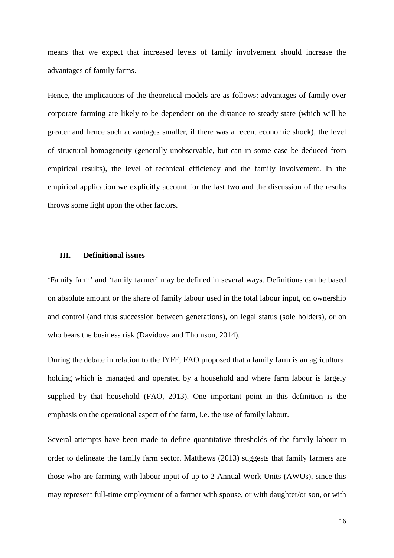means that we expect that increased levels of family involvement should increase the advantages of family farms.

Hence, the implications of the theoretical models are as follows: advantages of family over corporate farming are likely to be dependent on the distance to steady state (which will be greater and hence such advantages smaller, if there was a recent economic shock), the level of structural homogeneity (generally unobservable, but can in some case be deduced from empirical results), the level of technical efficiency and the family involvement. In the empirical application we explicitly account for the last two and the discussion of the results throws some light upon the other factors.

#### **III. Definitional issues**

'Family farm' and 'family farmer' may be defined in several ways. Definitions can be based on absolute amount or the share of family labour used in the total labour input, on ownership and control (and thus succession between generations), on legal status (sole holders), or on who bears the business risk (Davidova and Thomson, 2014).

During the debate in relation to the IYFF, FAO proposed that a family farm is an agricultural holding which is managed and operated by a household and where farm labour is largely supplied by that household (FAO, 2013). One important point in this definition is the emphasis on the operational aspect of the farm, i.e. the use of family labour.

Several attempts have been made to define quantitative thresholds of the family labour in order to delineate the family farm sector. Matthews (2013) suggests that family farmers are those who are farming with labour input of up to 2 Annual Work Units (AWUs), since this may represent full-time employment of a farmer with spouse, or with daughter/or son, or with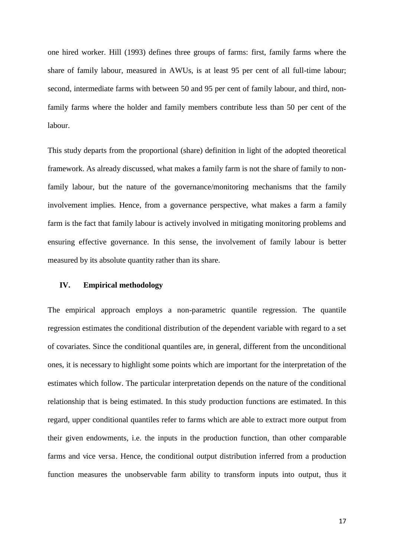one hired worker. Hill (1993) defines three groups of farms: first, family farms where the share of family labour, measured in AWUs, is at least 95 per cent of all full-time labour; second, intermediate farms with between 50 and 95 per cent of family labour, and third, nonfamily farms where the holder and family members contribute less than 50 per cent of the labour.

This study departs from the proportional (share) definition in light of the adopted theoretical framework. As already discussed, what makes a family farm is not the share of family to nonfamily labour, but the nature of the governance/monitoring mechanisms that the family involvement implies. Hence, from a governance perspective, what makes a farm a family farm is the fact that family labour is actively involved in mitigating monitoring problems and ensuring effective governance. In this sense, the involvement of family labour is better measured by its absolute quantity rather than its share.

#### **IV. Empirical methodology**

The empirical approach employs a non-parametric quantile regression. The quantile regression estimates the conditional distribution of the dependent variable with regard to a set of covariates. Since the conditional quantiles are, in general, different from the unconditional ones, it is necessary to highlight some points which are important for the interpretation of the estimates which follow. The particular interpretation depends on the nature of the conditional relationship that is being estimated. In this study production functions are estimated. In this regard, upper conditional quantiles refer to farms which are able to extract more output from their given endowments, i.e. the inputs in the production function, than other comparable farms and vice versa. Hence, the conditional output distribution inferred from a production function measures the unobservable farm ability to transform inputs into output, thus it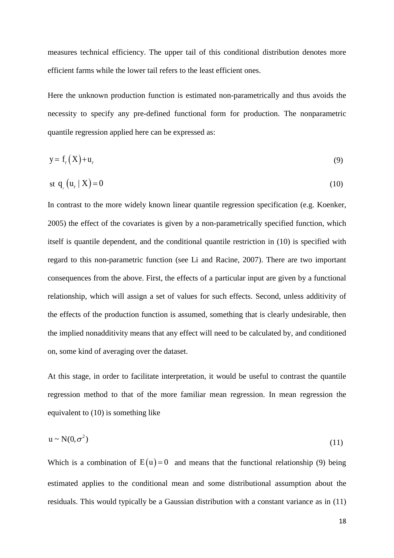measures technical efficiency. The upper tail of this conditional distribution denotes more efficient farms while the lower tail refers to the least efficient ones.

Here the unknown production function is estimated non-parametrically and thus avoids the necessity to specify any pre-defined functional form for production. The nonparametric quantile regression applied here can be expressed as:

$$
y = fr(X) + ur
$$
 (9)

$$
\text{st } q_{\tau} \left( u_{\tau} \mid X \right) = 0 \tag{10}
$$

In contrast to the more widely known linear quantile regression specification (e.g. Koenker, 2005) the effect of the covariates is given by a non-parametrically specified function, which itself is quantile dependent, and the conditional quantile restriction in (10) is specified with regard to this non-parametric function (see Li and Racine, 2007). There are two important consequences from the above. First, the effects of a particular input are given by a functional relationship, which will assign a set of values for such effects. Second, unless additivity of the effects of the production function is assumed, something that is clearly undesirable, then the implied nonadditivity means that any effect will need to be calculated by, and conditioned on, some kind of averaging over the dataset.

At this stage, in order to facilitate interpretation, it would be useful to contrast the quantile regression method to that of the more familiar mean regression. In mean regression the equivalent to (10) is something like

$$
\mathbf{u} \sim \mathbf{N}(0, \sigma^2) \tag{11}
$$

Which is a combination of  $E(u) = 0$  and means that the functional relationship (9) being estimated applies to the conditional mean and some distributional assumption about the residuals. This would typically be a Gaussian distribution with a constant variance as in (11)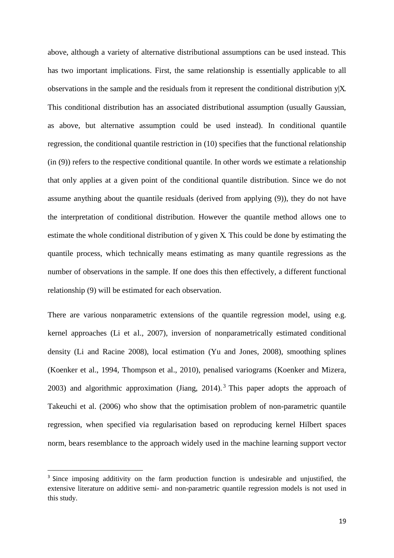above, although a variety of alternative distributional assumptions can be used instead. This has two important implications. First, the same relationship is essentially applicable to all observations in the sample and the residuals from it represent the conditional distribution y|X. This conditional distribution has an associated distributional assumption (usually Gaussian, as above, but alternative assumption could be used instead). In conditional quantile regression, the conditional quantile restriction in (10) specifies that the functional relationship  $(in (9))$  refers to the respective conditional quantile. In other words we estimate a relationship that only applies at a given point of the conditional quantile distribution. Since we do not assume anything about the quantile residuals (derived from applying (9)), they do not have the interpretation of conditional distribution. However the quantile method allows one to estimate the whole conditional distribution of y given X. This could be done by estimating the quantile process, which technically means estimating as many quantile regressions as the number of observations in the sample. If one does this then effectively, a different functional relationship (9) will be estimated for each observation.

There are various nonparametric extensions of the quantile regression model, using e.g. kernel approaches (Li et al., 2007), inversion of nonparametrically estimated conditional density (Li and Racine 2008), local estimation (Yu and Jones, 2008), smoothing splines (Koenker et al., 1994, Thompson et al., 2010), penalised variograms (Koenker and Mizera, 2003) and algorithmic approximation (Jiang,  $2014$ ).<sup>3</sup> This paper adopts the approach of Takeuchi et al. (2006) who show that the optimisation problem of non-parametric quantile regression, when specified via regularisation based on reproducing kernel Hilbert spaces norm, bears resemblance to the approach widely used in the machine learning support vector

 $\overline{a}$ 

<sup>&</sup>lt;sup>3</sup> Since imposing additivity on the farm production function is undesirable and unjustified, the extensive literature on additive semi- and non-parametric quantile regression models is not used in this study.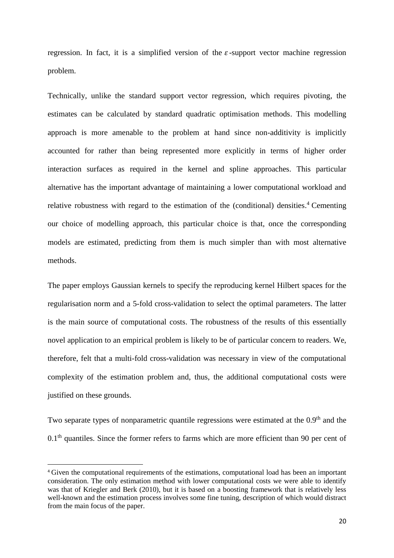regression. In fact, it is a simplified version of the  $\varepsilon$ -support vector machine regression problem.

Technically, unlike the standard support vector regression, which requires pivoting, the estimates can be calculated by standard quadratic optimisation methods. This modelling approach is more amenable to the problem at hand since non-additivity is implicitly accounted for rather than being represented more explicitly in terms of higher order interaction surfaces as required in the kernel and spline approaches. This particular alternative has the important advantage of maintaining a lower computational workload and relative robustness with regard to the estimation of the (conditional) densities.<sup>4</sup> Cementing our choice of modelling approach, this particular choice is that, once the corresponding models are estimated, predicting from them is much simpler than with most alternative methods.

The paper employs Gaussian kernels to specify the reproducing kernel Hilbert spaces for the regularisation norm and a 5-fold cross-validation to select the optimal parameters. The latter is the main source of computational costs. The robustness of the results of this essentially novel application to an empirical problem is likely to be of particular concern to readers. We, therefore, felt that a multi-fold cross-validation was necessary in view of the computational complexity of the estimation problem and, thus, the additional computational costs were justified on these grounds.

Two separate types of nonparametric quantile regressions were estimated at the 0.9<sup>th</sup> and the  $0.1<sup>th</sup>$  quantiles. Since the former refers to farms which are more efficient than 90 per cent of

 $\overline{a}$ 

<sup>4</sup> Given the computational requirements of the estimations, computational load has been an important consideration. The only estimation method with lower computational costs we were able to identify was that of Kriegler and Berk (2010), but it is based on a boosting framework that is relatively less well-known and the estimation process involves some fine tuning, description of which would distract from the main focus of the paper.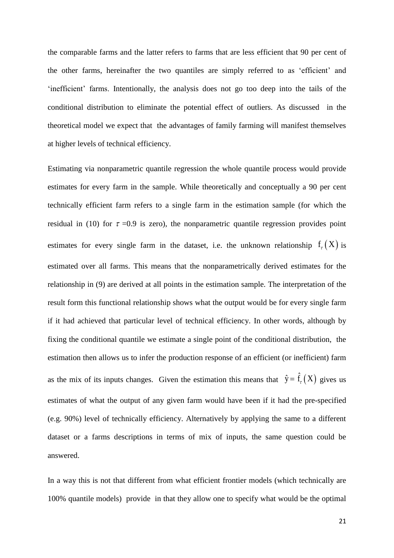the comparable farms and the latter refers to farms that are less efficient that 90 per cent of the other farms, hereinafter the two quantiles are simply referred to as 'efficient' and 'inefficient' farms. Intentionally, the analysis does not go too deep into the tails of the conditional distribution to eliminate the potential effect of outliers. As discussed in the theoretical model we expect that the advantages of family farming will manifest themselves at higher levels of technical efficiency.

Estimating via nonparametric quantile regression the whole quantile process would provide estimates for every farm in the sample. While theoretically and conceptually a 90 per cent technically efficient farm refers to a single farm in the estimation sample (for which the residual in (10) for  $\tau = 0.9$  is zero), the nonparametric quantile regression provides point estimates for every single farm in the dataset, i.e. the unknown relationship  $f_{\tau}(X)$  is estimated over all farms. This means that the nonparametrically derived estimates for the relationship in (9) are derived at all points in the estimation sample. The interpretation of the result form this functional relationship shows what the output would be for every single farm if it had achieved that particular level of technical efficiency. In other words, although by fixing the conditional quantile we estimate a single point of the conditional distribution, the estimation then allows us to infer the production response of an efficient (or inefficient) farm as the mix of its inputs changes. Given the estimation this means that  $\hat{y} = \hat{f}_r(X)$  gives us estimates of what the output of any given farm would have been if it had the pre-specified (e.g. 90%) level of technically efficiency. Alternatively by applying the same to a different dataset or a farms descriptions in terms of mix of inputs, the same question could be answered.

In a way this is not that different from what efficient frontier models (which technically are 100% quantile models) provide in that they allow one to specify what would be the optimal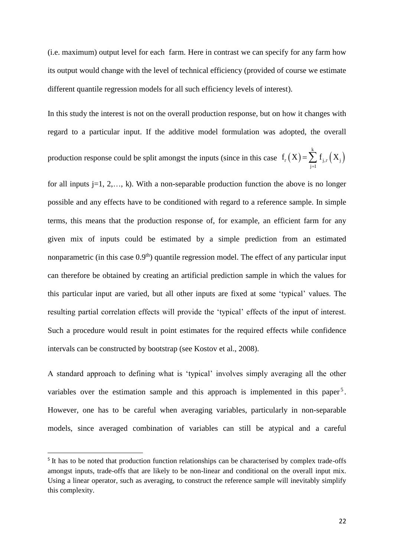(i.e. maximum) output level for each farm. Here in contrast we can specify for any farm how its output would change with the level of technical efficiency (provided of course we estimate different quantile regression models for all such efficiency levels of interest).

In this study the interest is not on the overall production response, but on how it changes with regard to a particular input. If the additive model formulation was adopted, the overall production response could be split amongst the inputs (since in this case  $f_r(X) = \sum_{j,r} f_{j,r}(X_j)$ 1 k j, $\tau$   $\lambda$  j j  $f_{\tau}(X) = \sum f_{j,\tau}(X)$  $=\sum_{j=1}$ 

for all inputs  $j=1, 2, \ldots, k$ ). With a non-separable production function the above is no longer possible and any effects have to be conditioned with regard to a reference sample. In simple terms, this means that the production response of, for example, an efficient farm for any given mix of inputs could be estimated by a simple prediction from an estimated nonparametric (in this case  $0.9<sup>th</sup>$ ) quantile regression model. The effect of any particular input can therefore be obtained by creating an artificial prediction sample in which the values for this particular input are varied, but all other inputs are fixed at some 'typical' values. The resulting partial correlation effects will provide the 'typical' effects of the input of interest. Such a procedure would result in point estimates for the required effects while confidence intervals can be constructed by bootstrap (see Kostov et al., 2008).

A standard approach to defining what is 'typical' involves simply averaging all the other variables over the estimation sample and this approach is implemented in this paper<sup>5</sup>. However, one has to be careful when averaging variables, particularly in non-separable models, since averaged combination of variables can still be atypical and a careful

 $\overline{a}$ 

<sup>&</sup>lt;sup>5</sup> It has to be noted that production function relationships can be characterised by complex trade-offs amongst inputs, trade-offs that are likely to be non-linear and conditional on the overall input mix. Using a linear operator, such as averaging, to construct the reference sample will inevitably simplify this complexity.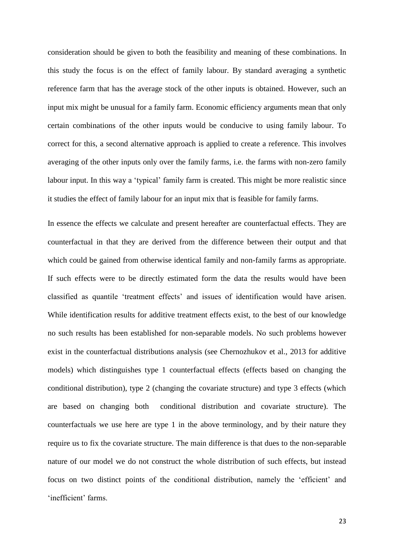consideration should be given to both the feasibility and meaning of these combinations. In this study the focus is on the effect of family labour. By standard averaging a synthetic reference farm that has the average stock of the other inputs is obtained. However, such an input mix might be unusual for a family farm. Economic efficiency arguments mean that only certain combinations of the other inputs would be conducive to using family labour. To correct for this, a second alternative approach is applied to create a reference. This involves averaging of the other inputs only over the family farms, i.e. the farms with non-zero family labour input. In this way a 'typical' family farm is created. This might be more realistic since it studies the effect of family labour for an input mix that is feasible for family farms.

In essence the effects we calculate and present hereafter are counterfactual effects. They are counterfactual in that they are derived from the difference between their output and that which could be gained from otherwise identical family and non-family farms as appropriate. If such effects were to be directly estimated form the data the results would have been classified as quantile 'treatment effects' and issues of identification would have arisen. While identification results for additive treatment effects exist, to the best of our knowledge no such results has been established for non-separable models. No such problems however exist in the counterfactual distributions analysis (see Chernozhukov et al., 2013 for additive models) which distinguishes type 1 counterfactual effects (effects based on changing the conditional distribution), type 2 (changing the covariate structure) and type 3 effects (which are based on changing both conditional distribution and covariate structure). The counterfactuals we use here are type 1 in the above terminology, and by their nature they require us to fix the covariate structure. The main difference is that dues to the non-separable nature of our model we do not construct the whole distribution of such effects, but instead focus on two distinct points of the conditional distribution, namely the 'efficient' and 'inefficient' farms.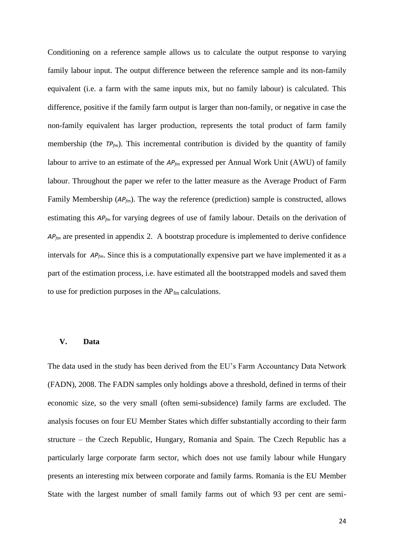Conditioning on a reference sample allows us to calculate the output response to varying family labour input. The output difference between the reference sample and its non-family equivalent (i.e. a farm with the same inputs mix, but no family labour) is calculated. This difference, positive if the family farm output is larger than non-family, or negative in case the non-family equivalent has larger production, represents the total product of farm family membership (the  $TP_{fm}$ ). This incremental contribution is divided by the quantity of family labour to arrive to an estimate of the  $AP_{fm}$  expressed per Annual Work Unit (AWU) of family labour. Throughout the paper we refer to the latter measure as the Average Product of Farm Family Membership (*APfm*). The way the reference (prediction) sample is constructed, allows estimating this *APfm* for varying degrees of use of family labour. Details on the derivation of *APfm* are presented in appendix 2. A bootstrap procedure is implemented to derive confidence intervals for *APfm*. Since this is a computationally expensive part we have implemented it as a part of the estimation process, i.e. have estimated all the bootstrapped models and saved them to use for prediction purposes in the  $AP<sub>fm</sub>$  calculations.

#### **V. Data**

The data used in the study has been derived from the EU's Farm Accountancy Data Network (FADN), 2008. The FADN samples only holdings above a threshold, defined in terms of their economic size, so the very small (often semi-subsidence) family farms are excluded. The analysis focuses on four EU Member States which differ substantially according to their farm structure – the Czech Republic, Hungary, Romania and Spain. The Czech Republic has a particularly large corporate farm sector, which does not use family labour while Hungary presents an interesting mix between corporate and family farms. Romania is the EU Member State with the largest number of small family farms out of which 93 per cent are semi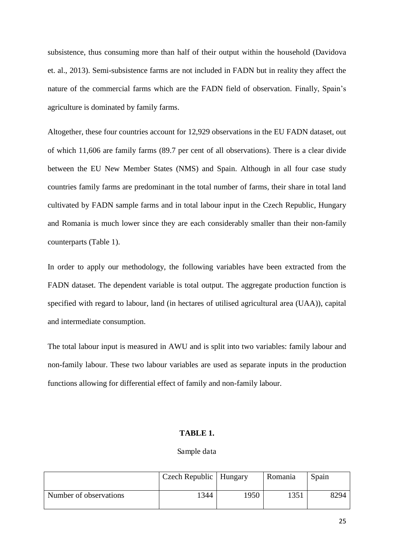subsistence, thus consuming more than half of their output within the household (Davidova et. al., 2013). Semi-subsistence farms are not included in FADN but in reality they affect the nature of the commercial farms which are the FADN field of observation. Finally, Spain's agriculture is dominated by family farms.

Altogether, these four countries account for 12,929 observations in the EU FADN dataset, out of which 11,606 are family farms (89.7 per cent of all observations). There is a clear divide between the EU New Member States (NMS) and Spain. Although in all four case study countries family farms are predominant in the total number of farms, their share in total land cultivated by FADN sample farms and in total labour input in the Czech Republic, Hungary and Romania is much lower since they are each considerably smaller than their non-family counterparts (Table 1).

In order to apply our methodology, the following variables have been extracted from the FADN dataset. The dependent variable is total output. The aggregate production function is specified with regard to labour, land (in hectares of utilised agricultural area (UAA)), capital and intermediate consumption.

The total labour input is measured in AWU and is split into two variables: family labour and non-family labour. These two labour variables are used as separate inputs in the production functions allowing for differential effect of family and non-family labour.

#### **TABLE 1.**

#### Sample data

|                        | Czech Republic   Hungary |      | Romania | Spain |
|------------------------|--------------------------|------|---------|-------|
| Number of observations | 1344                     | 1950 | 1351    | 8294  |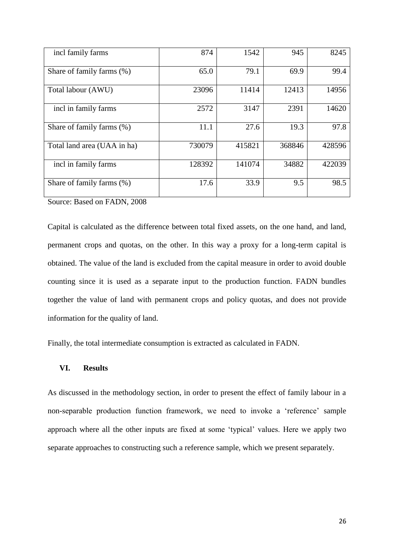| incl family farms           | 874    | 1542   | 945    | 8245   |
|-----------------------------|--------|--------|--------|--------|
| Share of family farms (%)   | 65.0   | 79.1   | 69.9   | 99.4   |
| Total labour (AWU)          | 23096  | 11414  | 12413  | 14956  |
| incl in family farms        | 2572   | 3147   | 2391   | 14620  |
| Share of family farms (%)   | 11.1   | 27.6   | 19.3   | 97.8   |
| Total land area (UAA in ha) | 730079 | 415821 | 368846 | 428596 |
| incl in family farms        | 128392 | 141074 | 34882  | 422039 |
| Share of family farms (%)   | 17.6   | 33.9   | 9.5    | 98.5   |

Source: Based on FADN, 2008

Capital is calculated as the difference between total fixed assets, on the one hand, and land, permanent crops and quotas, on the other. In this way a proxy for a long-term capital is obtained. The value of the land is excluded from the capital measure in order to avoid double counting since it is used as a separate input to the production function. FADN bundles together the value of land with permanent crops and policy quotas, and does not provide information for the quality of land.

Finally, the total intermediate consumption is extracted as calculated in FADN.

#### **VI. Results**

As discussed in the methodology section, in order to present the effect of family labour in a non-separable production function framework, we need to invoke a 'reference' sample approach where all the other inputs are fixed at some 'typical' values. Here we apply two separate approaches to constructing such a reference sample, which we present separately.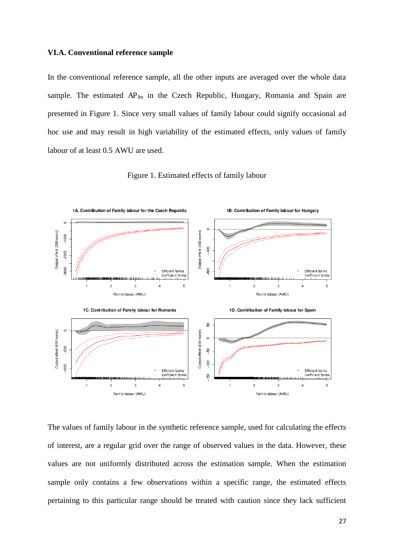#### **VI.A. Conventional reference sample**

In the conventional reference sample, all the other inputs are averaged over the whole data sample. The estimated  $AP<sub>fm</sub>$  in the Czech Republic, Hungary, Romania and Spain are presented in Figure 1. Since very small values of family labour could signify occasional ad hoc use and may result in high variability of the estimated effects, only values of family labour of at least 0.5 AWU are used.



Figure 1. Estimated effects of family labour

The values of family labour in the synthetic reference sample, used for calculating the effects of interest, are a regular grid over the range of observed values in the data. However, these values are not uniformly distributed across the estimation sample. When the estimation sample only contains a few observations within a specific range, the estimated effects pertaining to this particular range should be treated with caution since they lack sufficient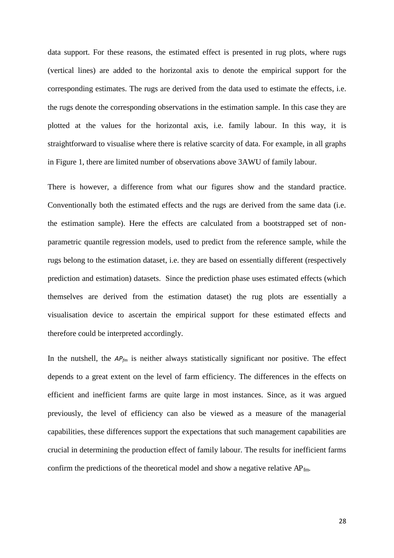data support. For these reasons, the estimated effect is presented in rug plots, where rugs (vertical lines) are added to the horizontal axis to denote the empirical support for the corresponding estimates. The rugs are derived from the data used to estimate the effects, i.e. the rugs denote the corresponding observations in the estimation sample. In this case they are plotted at the values for the horizontal axis, i.e. family labour. In this way, it is straightforward to visualise where there is relative scarcity of data. For example, in all graphs in Figure 1, there are limited number of observations above 3AWU of family labour.

There is however, a difference from what our figures show and the standard practice. Conventionally both the estimated effects and the rugs are derived from the same data (i.e. the estimation sample). Here the effects are calculated from a bootstrapped set of nonparametric quantile regression models, used to predict from the reference sample, while the rugs belong to the estimation dataset, i.e. they are based on essentially different (respectively prediction and estimation) datasets. Since the prediction phase uses estimated effects (which themselves are derived from the estimation dataset) the rug plots are essentially a visualisation device to ascertain the empirical support for these estimated effects and therefore could be interpreted accordingly.

In the nutshell, the  $AP_{fm}$  is neither always statistically significant nor positive. The effect depends to a great extent on the level of farm efficiency. The differences in the effects on efficient and inefficient farms are quite large in most instances. Since, as it was argued previously, the level of efficiency can also be viewed as a measure of the managerial capabilities, these differences support the expectations that such management capabilities are crucial in determining the production effect of family labour. The results for inefficient farms confirm the predictions of the theoretical model and show a negative relative  $AP_{fm}$ .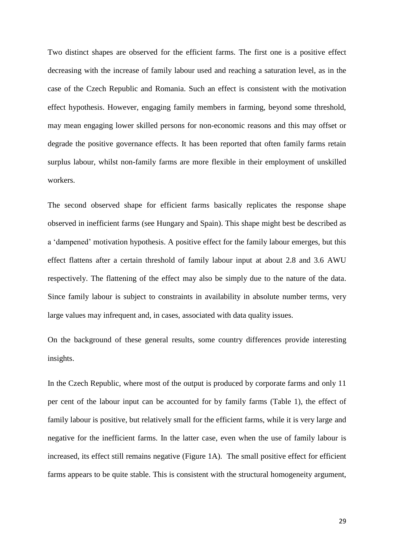Two distinct shapes are observed for the efficient farms. The first one is a positive effect decreasing with the increase of family labour used and reaching a saturation level, as in the case of the Czech Republic and Romania. Such an effect is consistent with the motivation effect hypothesis. However, engaging family members in farming, beyond some threshold, may mean engaging lower skilled persons for non-economic reasons and this may offset or degrade the positive governance effects. It has been reported that often family farms retain surplus labour, whilst non-family farms are more flexible in their employment of unskilled workers.

The second observed shape for efficient farms basically replicates the response shape observed in inefficient farms (see Hungary and Spain). This shape might best be described as a 'dampened' motivation hypothesis. A positive effect for the family labour emerges, but this effect flattens after a certain threshold of family labour input at about 2.8 and 3.6 AWU respectively. The flattening of the effect may also be simply due to the nature of the data. Since family labour is subject to constraints in availability in absolute number terms, very large values may infrequent and, in cases, associated with data quality issues.

On the background of these general results, some country differences provide interesting insights.

In the Czech Republic, where most of the output is produced by corporate farms and only 11 per cent of the labour input can be accounted for by family farms (Table 1), the effect of family labour is positive, but relatively small for the efficient farms, while it is very large and negative for the inefficient farms. In the latter case, even when the use of family labour is increased, its effect still remains negative (Figure 1A). The small positive effect for efficient farms appears to be quite stable. This is consistent with the structural homogeneity argument,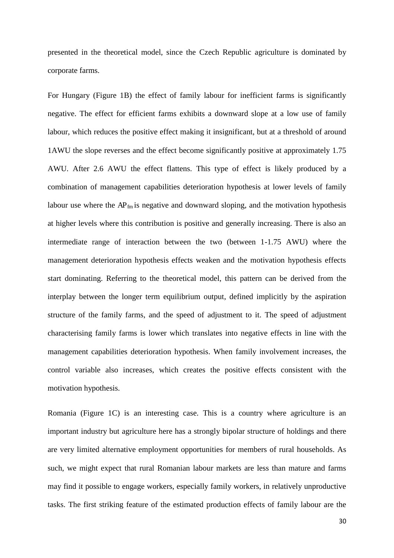presented in the theoretical model, since the Czech Republic agriculture is dominated by corporate farms.

For Hungary (Figure 1B) the effect of family labour for inefficient farms is significantly negative. The effect for efficient farms exhibits a downward slope at a low use of family labour, which reduces the positive effect making it insignificant, but at a threshold of around 1AWU the slope reverses and the effect become significantly positive at approximately 1.75 AWU. After 2.6 AWU the effect flattens. This type of effect is likely produced by a combination of management capabilities deterioration hypothesis at lower levels of family labour use where the  $AP<sub>fm</sub>$  is negative and downward sloping, and the motivation hypothesis at higher levels where this contribution is positive and generally increasing. There is also an intermediate range of interaction between the two (between 1-1.75 AWU) where the management deterioration hypothesis effects weaken and the motivation hypothesis effects start dominating. Referring to the theoretical model, this pattern can be derived from the interplay between the longer term equilibrium output, defined implicitly by the aspiration structure of the family farms, and the speed of adjustment to it. The speed of adjustment characterising family farms is lower which translates into negative effects in line with the management capabilities deterioration hypothesis. When family involvement increases, the control variable also increases, which creates the positive effects consistent with the motivation hypothesis.

Romania (Figure 1C) is an interesting case. This is a country where agriculture is an important industry but agriculture here has a strongly bipolar structure of holdings and there are very limited alternative employment opportunities for members of rural households. As such, we might expect that rural Romanian labour markets are less than mature and farms may find it possible to engage workers, especially family workers, in relatively unproductive tasks. The first striking feature of the estimated production effects of family labour are the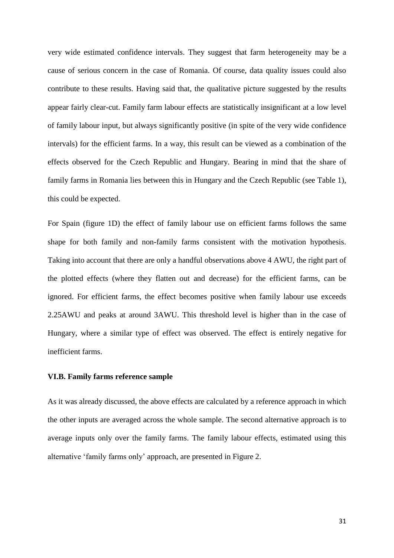very wide estimated confidence intervals. They suggest that farm heterogeneity may be a cause of serious concern in the case of Romania. Of course, data quality issues could also contribute to these results. Having said that, the qualitative picture suggested by the results appear fairly clear-cut. Family farm labour effects are statistically insignificant at a low level of family labour input, but always significantly positive (in spite of the very wide confidence intervals) for the efficient farms. In a way, this result can be viewed as a combination of the effects observed for the Czech Republic and Hungary. Bearing in mind that the share of family farms in Romania lies between this in Hungary and the Czech Republic (see Table 1), this could be expected.

For Spain (figure 1D) the effect of family labour use on efficient farms follows the same shape for both family and non-family farms consistent with the motivation hypothesis. Taking into account that there are only a handful observations above 4 AWU, the right part of the plotted effects (where they flatten out and decrease) for the efficient farms, can be ignored. For efficient farms, the effect becomes positive when family labour use exceeds 2.25AWU and peaks at around 3AWU. This threshold level is higher than in the case of Hungary, where a similar type of effect was observed. The effect is entirely negative for inefficient farms.

#### **VI.B. Family farms reference sample**

As it was already discussed, the above effects are calculated by a reference approach in which the other inputs are averaged across the whole sample. The second alternative approach is to average inputs only over the family farms. The family labour effects, estimated using this alternative 'family farms only' approach, are presented in Figure 2.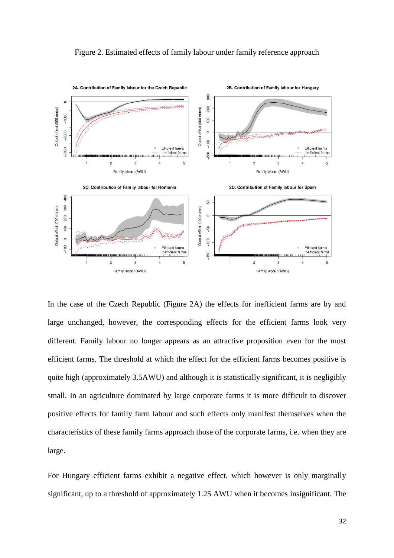



In the case of the Czech Republic (Figure 2A) the effects for inefficient farms are by and large unchanged, however, the corresponding effects for the efficient farms look very different. Family labour no longer appears as an attractive proposition even for the most efficient farms. The threshold at which the effect for the efficient farms becomes positive is quite high (approximately 3.5AWU) and although it is statistically significant, it is negligibly small. In an agriculture dominated by large corporate farms it is more difficult to discover positive effects for family farm labour and such effects only manifest themselves when the characteristics of these family farms approach those of the corporate farms, i.e. when they are large.

For Hungary efficient farms exhibit a negative effect, which however is only marginally significant, up to a threshold of approximately 1.25 AWU when it becomes insignificant. The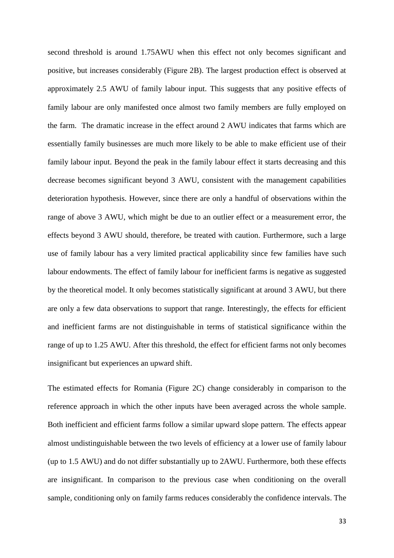second threshold is around 1.75AWU when this effect not only becomes significant and positive, but increases considerably (Figure 2B). The largest production effect is observed at approximately 2.5 AWU of family labour input. This suggests that any positive effects of family labour are only manifested once almost two family members are fully employed on the farm. The dramatic increase in the effect around 2 AWU indicates that farms which are essentially family businesses are much more likely to be able to make efficient use of their family labour input. Beyond the peak in the family labour effect it starts decreasing and this decrease becomes significant beyond 3 AWU, consistent with the management capabilities deterioration hypothesis. However, since there are only a handful of observations within the range of above 3 AWU, which might be due to an outlier effect or a measurement error, the effects beyond 3 AWU should, therefore, be treated with caution. Furthermore, such a large use of family labour has a very limited practical applicability since few families have such labour endowments. The effect of family labour for inefficient farms is negative as suggested by the theoretical model. It only becomes statistically significant at around 3 AWU, but there are only a few data observations to support that range. Interestingly, the effects for efficient and inefficient farms are not distinguishable in terms of statistical significance within the range of up to 1.25 AWU. After this threshold, the effect for efficient farms not only becomes insignificant but experiences an upward shift.

The estimated effects for Romania (Figure 2C) change considerably in comparison to the reference approach in which the other inputs have been averaged across the whole sample. Both inefficient and efficient farms follow a similar upward slope pattern. The effects appear almost undistinguishable between the two levels of efficiency at a lower use of family labour (up to 1.5 AWU) and do not differ substantially up to 2AWU. Furthermore, both these effects are insignificant. In comparison to the previous case when conditioning on the overall sample, conditioning only on family farms reduces considerably the confidence intervals. The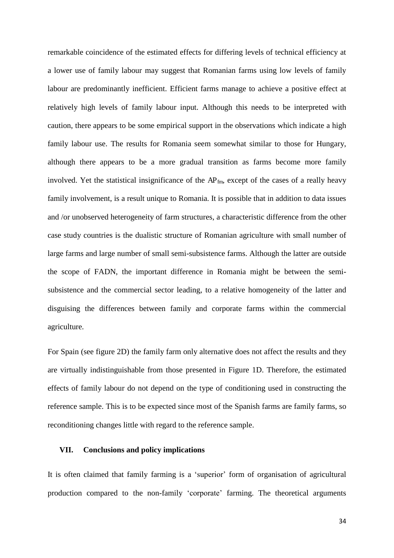remarkable coincidence of the estimated effects for differing levels of technical efficiency at a lower use of family labour may suggest that Romanian farms using low levels of family labour are predominantly inefficient. Efficient farms manage to achieve a positive effect at relatively high levels of family labour input. Although this needs to be interpreted with caution, there appears to be some empirical support in the observations which indicate a high family labour use. The results for Romania seem somewhat similar to those for Hungary, although there appears to be a more gradual transition as farms become more family involved. Yet the statistical insignificance of the  $AP<sub>fm</sub>$ , except of the cases of a really heavy family involvement, is a result unique to Romania. It is possible that in addition to data issues and /or unobserved heterogeneity of farm structures, a characteristic difference from the other case study countries is the dualistic structure of Romanian agriculture with small number of large farms and large number of small semi-subsistence farms. Although the latter are outside the scope of FADN, the important difference in Romania might be between the semisubsistence and the commercial sector leading, to a relative homogeneity of the latter and disguising the differences between family and corporate farms within the commercial agriculture.

For Spain (see figure 2D) the family farm only alternative does not affect the results and they are virtually indistinguishable from those presented in Figure 1D. Therefore, the estimated effects of family labour do not depend on the type of conditioning used in constructing the reference sample. This is to be expected since most of the Spanish farms are family farms, so reconditioning changes little with regard to the reference sample.

#### **VII. Conclusions and policy implications**

It is often claimed that family farming is a 'superior' form of organisation of agricultural production compared to the non-family 'corporate' farming. The theoretical arguments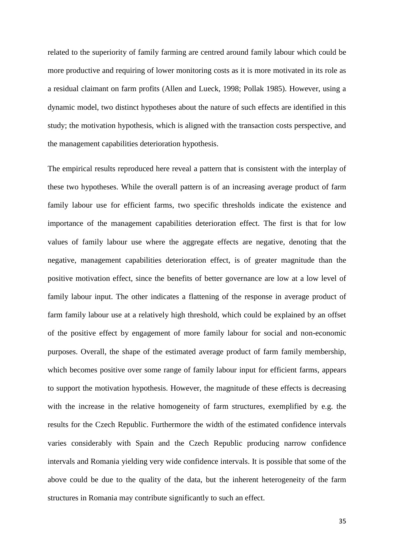related to the superiority of family farming are centred around family labour which could be more productive and requiring of lower monitoring costs as it is more motivated in its role as a residual claimant on farm profits (Allen and Lueck, 1998; Pollak 1985). However, using a dynamic model, two distinct hypotheses about the nature of such effects are identified in this study; the motivation hypothesis, which is aligned with the transaction costs perspective, and the management capabilities deterioration hypothesis.

The empirical results reproduced here reveal a pattern that is consistent with the interplay of these two hypotheses. While the overall pattern is of an increasing average product of farm family labour use for efficient farms, two specific thresholds indicate the existence and importance of the management capabilities deterioration effect. The first is that for low values of family labour use where the aggregate effects are negative, denoting that the negative, management capabilities deterioration effect, is of greater magnitude than the positive motivation effect, since the benefits of better governance are low at a low level of family labour input. The other indicates a flattening of the response in average product of farm family labour use at a relatively high threshold, which could be explained by an offset of the positive effect by engagement of more family labour for social and non-economic purposes. Overall, the shape of the estimated average product of farm family membership, which becomes positive over some range of family labour input for efficient farms, appears to support the motivation hypothesis. However, the magnitude of these effects is decreasing with the increase in the relative homogeneity of farm structures, exemplified by e.g. the results for the Czech Republic. Furthermore the width of the estimated confidence intervals varies considerably with Spain and the Czech Republic producing narrow confidence intervals and Romania yielding very wide confidence intervals. It is possible that some of the above could be due to the quality of the data, but the inherent heterogeneity of the farm structures in Romania may contribute significantly to such an effect.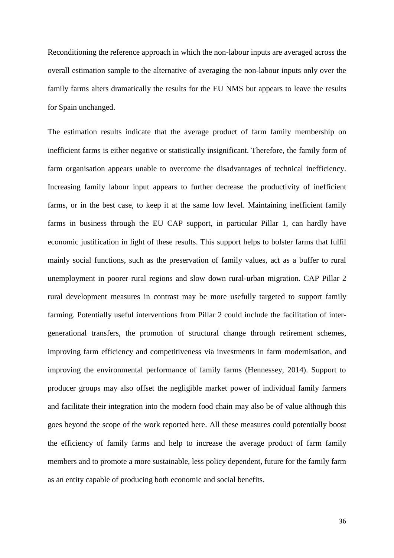Reconditioning the reference approach in which the non-labour inputs are averaged across the overall estimation sample to the alternative of averaging the non-labour inputs only over the family farms alters dramatically the results for the EU NMS but appears to leave the results for Spain unchanged.

The estimation results indicate that the average product of farm family membership on inefficient farms is either negative or statistically insignificant. Therefore, the family form of farm organisation appears unable to overcome the disadvantages of technical inefficiency. Increasing family labour input appears to further decrease the productivity of inefficient farms, or in the best case, to keep it at the same low level. Maintaining inefficient family farms in business through the EU CAP support, in particular Pillar 1, can hardly have economic justification in light of these results. This support helps to bolster farms that fulfil mainly social functions, such as the preservation of family values, act as a buffer to rural unemployment in poorer rural regions and slow down rural-urban migration. CAP Pillar 2 rural development measures in contrast may be more usefully targeted to support family farming. Potentially useful interventions from Pillar 2 could include the facilitation of intergenerational transfers, the promotion of structural change through retirement schemes, improving farm efficiency and competitiveness via investments in farm modernisation, and improving the environmental performance of family farms (Hennessey, 2014). Support to producer groups may also offset the negligible market power of individual family farmers and facilitate their integration into the modern food chain may also be of value although this goes beyond the scope of the work reported here. All these measures could potentially boost the efficiency of family farms and help to increase the average product of farm family members and to promote a more sustainable, less policy dependent, future for the family farm as an entity capable of producing both economic and social benefits.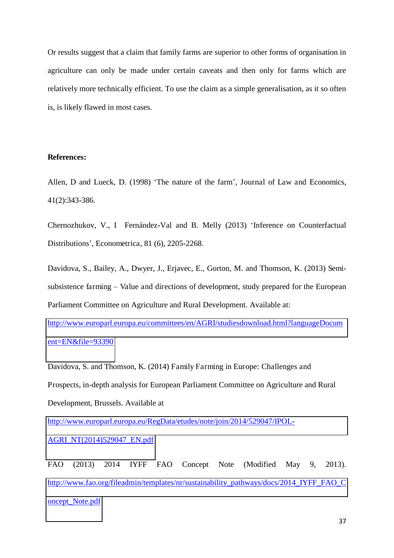Or results suggest that a claim that family farms are superior to other forms of organisation in agriculture can only be made under certain caveats and then only for farms which are relatively more technically efficient. To use the claim as a simple generalisation, as it so often is, is likely flawed in most cases.

#### **References:**

Allen, D and Lueck, D. (1998) 'The nature of the farm', Journal of Law and Economics, 41(2):343-386.

Chernozhukov, V., I Fernández-Val and B. Melly (2013) 'Inference on Counterfactual Distributions', Econometrica, 81 (6), 2205-2268.

Davidova, S., Bailey, A., Dwyer, J., Erjavec, E., Gorton, M. and Thomson, K. (2013) Semisubsistence farming *–* Value and directions of development, study prepared for the European Parliament Committee on Agriculture and Rural Development. Available at:

[http://www.europarl.europa.eu/committees/en/AGRI/studiesdownload.html?languageDocum](http://www.europarl.europa.eu/committees/en/AGRI/studiesdownload.html?languageDocument=EN&file=93390) [ent=EN&file=93390](http://www.europarl.europa.eu/committees/en/AGRI/studiesdownload.html?languageDocument=EN&file=93390)

Davidova, S. and Thomson, K. (2014) Family Farming in Europe: Challenges and Prospects, in-depth analysis for European Parliament Committee on Agriculture and Rural Development, Brussels. Available at

[http://www.europarl.europa.eu/RegData/etudes/note/join/2014/529047/IPOL-](http://www.europarl.europa.eu/RegData/etudes/note/join/2014/529047/IPOL-AGRI_NT(2014)529047_EN.pdf)

[AGRI\\_NT\(2014\)529047\\_EN.pdf](http://www.europarl.europa.eu/RegData/etudes/note/join/2014/529047/IPOL-AGRI_NT(2014)529047_EN.pdf)

FAO (2013) 2014 IYFF FAO Concept Note (Modified May 9, 2013). [http://www.fao.org/fileadmin/templates/nr/sustainability\\_pathways/docs/2014\\_IYFF\\_FAO\\_C](http://www.fao.org/fileadmin/templates/nr/sustainability_pathways/docs/2014_IYFF_FAO_Concept_Note.pdf) [oncept\\_Note.pdf](http://www.fao.org/fileadmin/templates/nr/sustainability_pathways/docs/2014_IYFF_FAO_Concept_Note.pdf)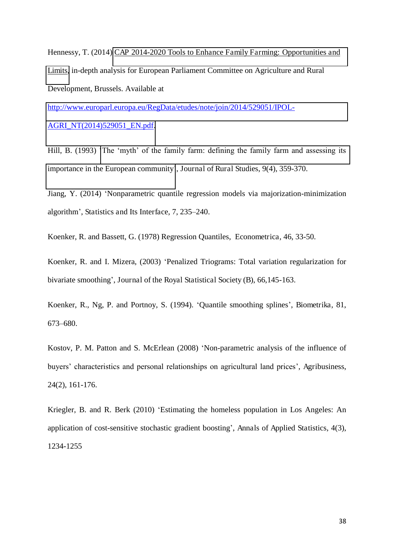Hennessy, T. (2014) [CAP 2014-2020 Tools to Enhance Family Farming: Opportunities and](http://www.europarl.europa.eu/committees/en/AGRI/studies.html)  [Limits,](http://www.europarl.europa.eu/committees/en/AGRI/studies.html) in-depth analysis for European Parliament Committee on Agriculture and Rural Development, Brussels. Available at

[http://www.europarl.europa.eu/RegData/etudes/note/join/2014/529051/IPOL-](http://www.europarl.europa.eu/RegData/etudes/note/join/2014/529051/IPOL-AGRI_NT(2014)529051_EN.pdf)

[AGRI\\_NT\(2014\)529051\\_EN.pdf.](http://www.europarl.europa.eu/RegData/etudes/note/join/2014/529051/IPOL-AGRI_NT(2014)529051_EN.pdf)

Hill, B. (1993) 'The 'myth' of the family farm: defining the family farm and assessing its [importance in the European community](http://www.sciencedirect.com/science/article/pii/074301679390048O)', Journal of Rural Studies, 9(4), 359-370.

Jiang, Y. (2014) 'Nonparametric quantile regression models via majorization-minimization algorithm', Statistics and Its Interface, 7, 235–240.

Koenker, R. and Bassett, G. (1978) Regression Quantiles, Econometrica, 46, 33-50.

Koenker, R. and I. Mizera, (2003) 'Penalized Triograms: Total variation regularization for bivariate smoothing', Journal of the Royal Statistical Society (B), 66,145-163.

Koenker, R., Ng, P. and Portnoy, S. (1994). 'Quantile smoothing splines', Biometrika, 81, 673–680.

Kostov, P. M. Patton and S. McErlean (2008) 'Non-parametric analysis of the influence of buyers' characteristics and personal relationships on agricultural land prices', Agribusiness, 24(2), 161-176.

Kriegler, B. and R. Berk (2010) 'Estimating the homeless population in Los Angeles: An application of cost-sensitive stochastic gradient boosting', Annals of Applied Statistics, 4(3), 1234-1255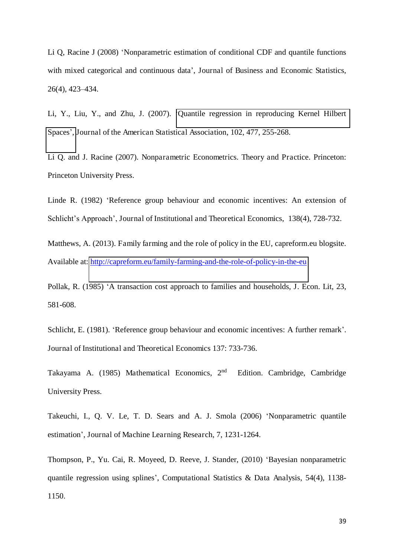Li Q, Racine J (2008) 'Nonparametric estimation of conditional CDF and quantile functions with mixed categorical and continuous data', Journal of Business and Economic Statistics, 26(4), 423–434.

Li, Y., Liu, Y., and Zhu, J. (2007). '[Quantile regression in reproducing Kernel Hilbert](http://www.unc.edu/~yfliu/papers/qr.pdf)  [Spaces](http://www.unc.edu/~yfliu/papers/qr.pdf)', Journal of the American Statistical Association, 102, 477, 255-268.

Li Q. and J. Racine (2007). Nonparametric Econometrics. Theory and Practice. Princeton: Princeton University Press.

Linde R. (1982) 'Reference group behaviour and economic incentives: An extension of Schlicht's Approach', Journal of Institutional and Theoretical Economics, 138(4), 728-732.

Matthews, A. (2013). Family farming and the role of policy in the EU, capreform.eu blogsite. Available at:<http://capreform.eu/family-farming-and-the-role-of-policy-in-the-eu>

Pollak, R. (1985) 'A transaction cost approach to families and households, J. Econ. Lit, 23, 581-608.

Schlicht, E. (1981). 'Reference group behaviour and economic incentives: A further remark'. Journal of Institutional and Theoretical Economics 137: 733-736.

Takayama A. (1985) Mathematical Economics, 2nd Edition. Cambridge, Cambridge University Press.

Takeuchi, I., Q. V. Le, T. D. Sears and A. J. Smola (2006) 'Nonparametric quantile estimation', Journal of Machine Learning Research, 7, 1231-1264.

Thompson, P., Yu. Cai, R. Moyeed, D. Reeve, J. Stander, (2010) 'Bayesian nonparametric quantile regression using splines', Computational Statistics & Data Analysis, 54(4), 1138- 1150.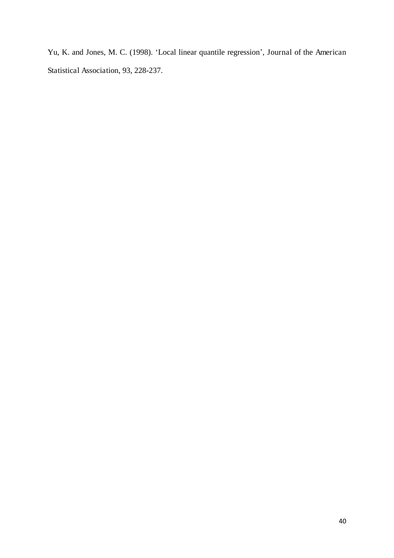Yu, K. and Jones, M. C. (1998). 'Local linear quantile regression', Journal of the American Statistical Association, 93, 228-237.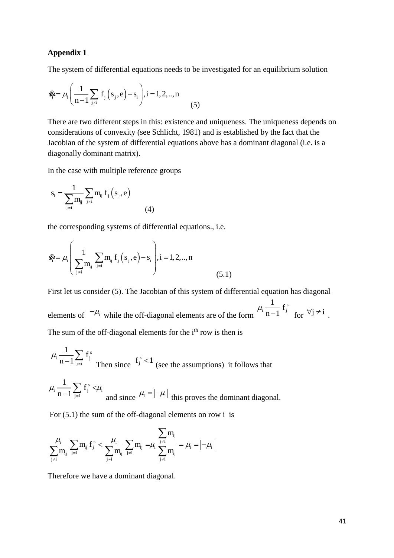#### **Appendix 1**

The system of differential equations needs to be investigated for an equilibrium solution

$$
\mathbf{g}_{i} = \mu_{i} \left( \frac{1}{n-1} \sum_{j \neq i} \mathbf{f}_{j} \left( \mathbf{s}_{j}, \mathbf{e} \right) - \mathbf{s}_{i} \right), i = 1, 2, ..., n \tag{5}
$$

There are two different steps in this: existence and uniqueness. The uniqueness depends on considerations of convexity (see Schlicht, 1981) and is established by the fact that the Jacobian of the system of differential equations above has a dominant diagonal (i.e. is a diagonally dominant matrix).

In the case with multiple reference groups

$$
s_i = \frac{1}{\sum_{j\neq i} m_{ij}} \sum_{j\neq i} m_{ij} \; f_j\left(s_j, e\right)
$$

the corresponding systems of differential equations., i.e.

(4)

$$
\mathbf{s}_{i} = \mu_{i} \left( \frac{1}{\sum_{j \neq i} m_{ij}} \sum_{j \neq i} m_{ij} \mathbf{f}_{j} \left( \mathbf{s}_{j}, \mathbf{e} \right) - \mathbf{s}_{i} \right), i = 1, 2, ..., n \tag{5.1}
$$

First let us consider (5). The Jacobian of this system of differential equation has diagonal elements of  $-\mu_i$  while the off-diagonal elements are of the form 1 1  $\mu_i \frac{1}{n-1} f_j^s$  for  $\forall j \neq i$ . The sum of the off-diagonal elements for the  $i<sup>th</sup>$  row is then is

$$
\mu_i \frac{1}{n-1} \sum_{j \neq i} f_j^s
$$
 Then since  $f_j^s < 1$  (see the assumptions) it follows that

$$
\mu_i \frac{1}{n-1} \sum_{j \neq i} f_j^s < \mu_i
$$
\nand since

\n
$$
\mu_i = \left| -\mu_i \right|
$$
\nthis proves the dominant diagonal.

For  $(5.1)$  the sum of the off-diagonal elements on row i is

$$
\underbrace{\frac{\mu_i}{\sum_{j\neq i}m_{_{ij}}}\sum_{j\neq i}m_{_{ij}}}_{f^s}\,f^s_j<\underbrace{\frac{\mu_i}{\sum_{j\neq i}m_{_{ij}}}\sum_{j\neq i}m_{_{ij}}}_{\text{ }}=\mu_i\,\underbrace{\sum_{j\neq i}m_{_{ij}}}_{\text{ }j\neq i}= \mu_i= \left|-\mu_i\right|
$$

Therefore we have a dominant diagonal.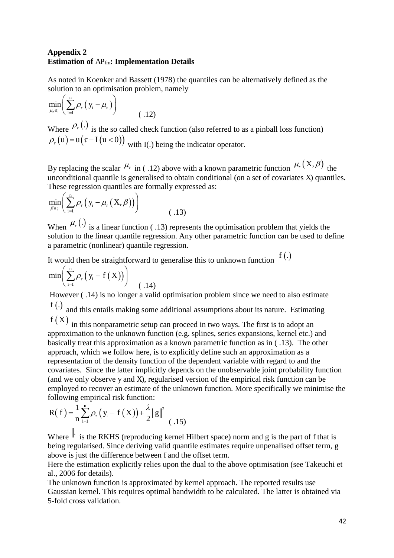#### **Appendix 2 Estimation of** APfm**: Implementation Details**

As noted in Koenker and Bassett (1978) the quantiles can be alternatively defined as the solution to an optimisation problem, namely

$$
\min_{\mu_{\tau}\in i}\left(\sum_{i=1}^{n}\rho_{\tau}\left(y_{i}-\mu_{\tau}\right)\right)
$$
\n(12)

Where  $P_{\tau}$  (.) is the so called check function (also referred to as a pinball loss function)  $\rho_r(u) = u(\tau - I(u < 0))$  with I(.) being the indicator operator.

By replacing the scalar  $\mu_{\tau}$  in (.12) above with a known parametric function  $\mu_{\tau}(X,\beta)$  the unconditional quantile is generalised to obtain conditional (on a set of covariates X) quantiles. These regression quantiles are formally expressed as:

$$
\min_{\beta \in i} \left( \sum_{i=1}^{n} \rho_{\tau} \left( y_{i} - \mu_{\tau} \left( X, \beta \right) \right) \right) \tag{13}
$$

When  $\mu_{\tau}(\cdot)$  is a linear function (.13) represents the optimisation problem that yields the solution to the linear quantile regression. Any other parametric function can be used to define a parametric (nonlinear) quantile regression.

It would then be straightforward to generalise this to unknown function  $f(.)$ 

$$
\min\left(\sum_{i=1}^n \rho_r \big( y_i - f(X) \big) \right) \tag{14}
$$

 However ( .14) is no longer a valid optimisation problem since we need to also estimate  $f(.)$  and this entails making some additional assumptions about its nature. Estimating

 $f(X)$  in this nonparametric setup can proceed in two ways. The first is to adopt an approximation to the unknown function (e.g. splines, series expansions, kernel etc.) and basically treat this approximation as a known parametric function as in ( .13). The other approach, which we follow here, is to explicitly define such an approximation as a representation of the density function of the dependent variable with regard to and the covariates. Since the latter implicitly depends on the unobservable joint probability function (and we only observe y and X), regularised version of the empirical risk function can be employed to recover an estimate of the unknown function. More specifically we minimise the following empirical risk function:

$$
R(f) = \frac{1}{n} \sum_{i=1}^{n} \rho_r (y_i - f(X)) + \frac{\lambda}{2} ||g||^2
$$
 (.15)

Where  $\| \cdot \|$  is the RKHS (reproducing kernel Hilbert space) norm and g is the part of f that is being regularised. Since deriving valid quantile estimates require unpenalised offset term, g above is just the difference between f and the offset term.

Here the estimation explicitly relies upon the dual to the above optimisation (see Takeuchi et al., 2006 for details).

The unknown function is approximated by kernel approach. The reported results use Gaussian kernel. This requires optimal bandwidth to be calculated. The latter is obtained via 5-fold cross validation.